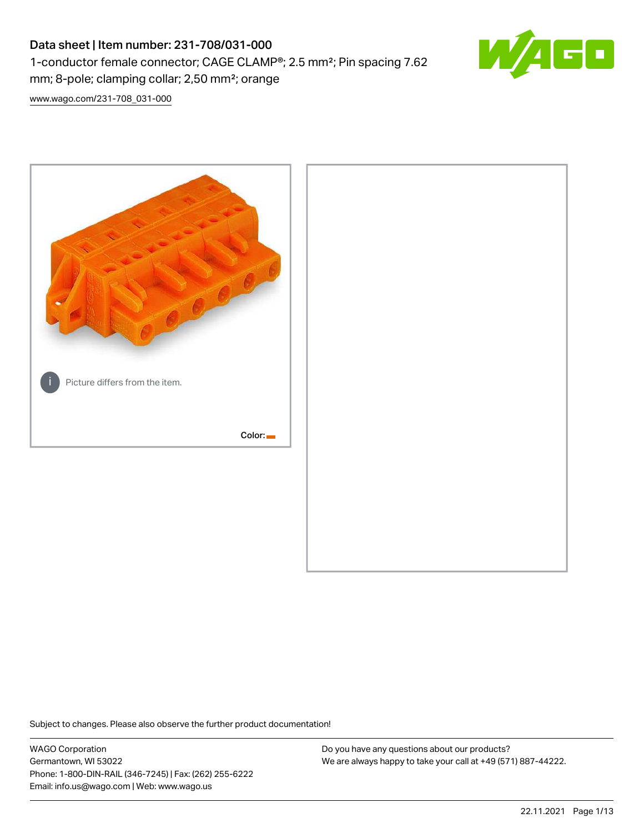# Data sheet | Item number: 231-708/031-000 1-conductor female connector; CAGE CLAMP®; 2.5 mm²; Pin spacing 7.62 mm; 8-pole; clamping collar; 2,50 mm²; orange



[www.wago.com/231-708\\_031-000](http://www.wago.com/231-708_031-000)



Subject to changes. Please also observe the further product documentation!

WAGO Corporation Germantown, WI 53022 Phone: 1-800-DIN-RAIL (346-7245) | Fax: (262) 255-6222 Email: info.us@wago.com | Web: www.wago.us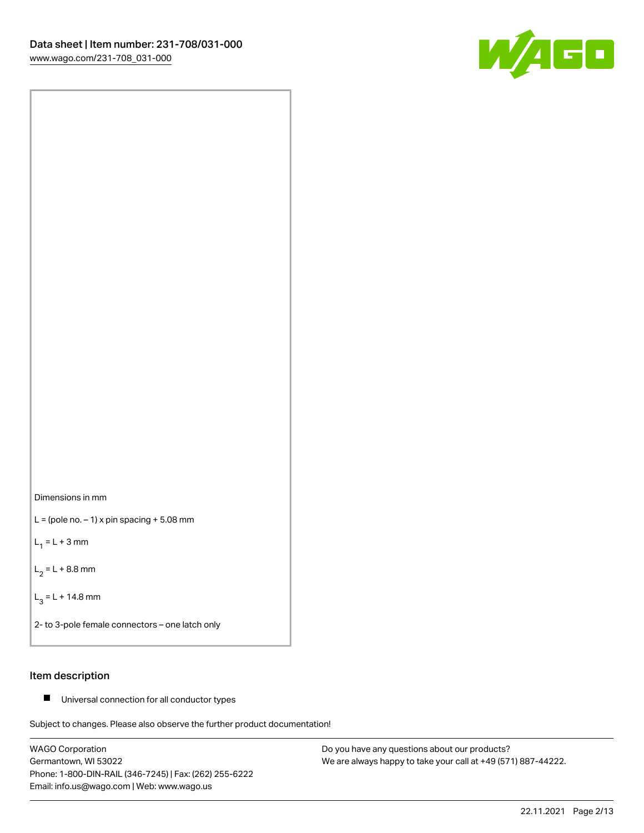



 $L =$  (pole no.  $-1$ ) x pin spacing  $+5.08$  mm

 $L_1 = L + 3$  mm

 $L_2 = L + 8.8$  mm

 $L_3 = L + 14.8$  mm

2- to 3-pole female connectors – one latch only

# Item description

■ Universal connection for all conductor types

Subject to changes. Please also observe the further product documentation!

WAGO Corporation Germantown, WI 53022 Phone: 1-800-DIN-RAIL (346-7245) | Fax: (262) 255-6222 Email: info.us@wago.com | Web: www.wago.us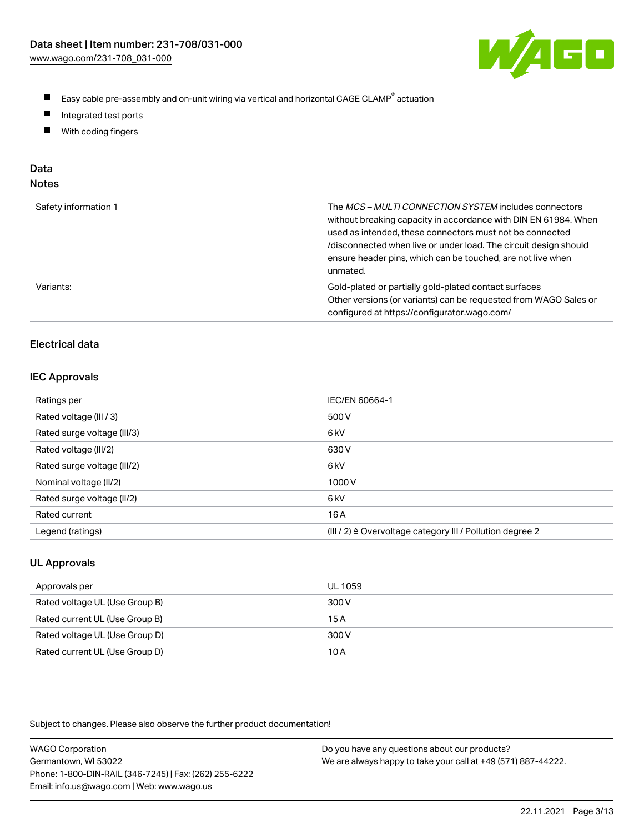

- $\blacksquare$ Easy cable pre-assembly and on-unit wiring via vertical and horizontal CAGE CLAMP<sup>®</sup> actuation
- $\blacksquare$ Integrated test ports
- $\blacksquare$ With coding fingers

# Data

| Safety information 1 | The MCS-MULTI CONNECTION SYSTEM includes connectors<br>without breaking capacity in accordance with DIN EN 61984. When<br>used as intended, these connectors must not be connected<br>/disconnected when live or under load. The circuit design should<br>ensure header pins, which can be touched, are not live when<br>unmated. |
|----------------------|-----------------------------------------------------------------------------------------------------------------------------------------------------------------------------------------------------------------------------------------------------------------------------------------------------------------------------------|
| Variants:            | Gold-plated or partially gold-plated contact surfaces<br>Other versions (or variants) can be requested from WAGO Sales or<br>configured at https://configurator.wago.com/                                                                                                                                                         |

# Electrical data

### IEC Approvals

| Ratings per                 | IEC/EN 60664-1                                                        |
|-----------------------------|-----------------------------------------------------------------------|
| Rated voltage (III / 3)     | 500 V                                                                 |
| Rated surge voltage (III/3) | 6 <sub>k</sub> V                                                      |
| Rated voltage (III/2)       | 630 V                                                                 |
| Rated surge voltage (III/2) | 6 <sub>k</sub> V                                                      |
| Nominal voltage (II/2)      | 1000V                                                                 |
| Rated surge voltage (II/2)  | 6 <sub>k</sub> V                                                      |
| Rated current               | 16 A                                                                  |
| Legend (ratings)            | $(III / 2)$ $\triangle$ Overvoltage category III / Pollution degree 2 |

# UL Approvals

| Approvals per                  | UL 1059 |
|--------------------------------|---------|
| Rated voltage UL (Use Group B) | 300 V   |
| Rated current UL (Use Group B) | 15A     |
| Rated voltage UL (Use Group D) | 300 V   |
| Rated current UL (Use Group D) | 10 A    |

Subject to changes. Please also observe the further product documentation!

| <b>WAGO Corporation</b>                                | Do you have any questions about our products?                 |
|--------------------------------------------------------|---------------------------------------------------------------|
| Germantown, WI 53022                                   | We are always happy to take your call at +49 (571) 887-44222. |
| Phone: 1-800-DIN-RAIL (346-7245)   Fax: (262) 255-6222 |                                                               |
| Email: info.us@wago.com   Web: www.wago.us             |                                                               |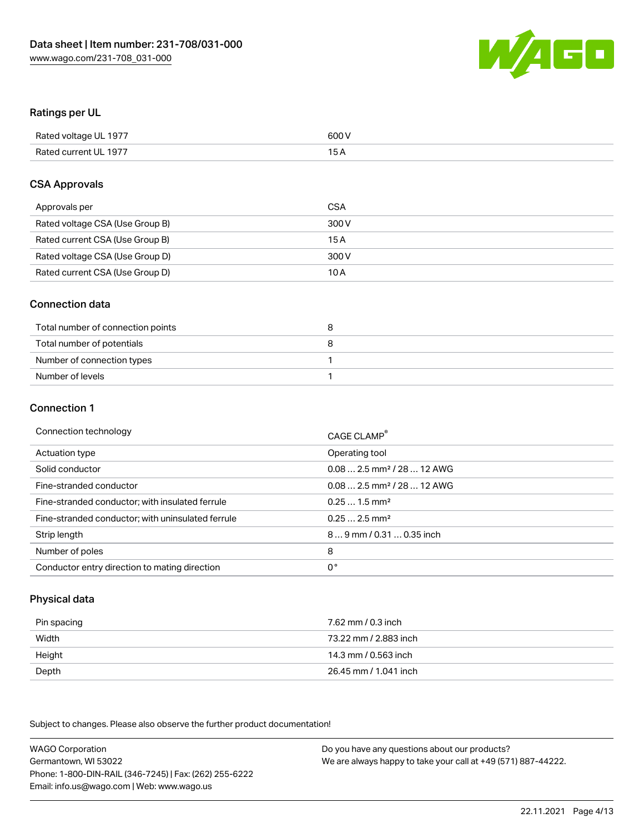

### Ratings per UL

| Rated voltage UL 1977 | 600 V |
|-----------------------|-------|
| Rated current UL 1977 | 1 E   |

### CSA Approvals

| Approvals per                   | CSA   |
|---------------------------------|-------|
| Rated voltage CSA (Use Group B) | 300 V |
| Rated current CSA (Use Group B) | 15 A  |
| Rated voltage CSA (Use Group D) | 300 V |
| Rated current CSA (Use Group D) | 10 A  |

### Connection data

| Total number of connection points |  |
|-----------------------------------|--|
| Total number of potentials        |  |
| Number of connection types        |  |
| Number of levels                  |  |

### Connection 1

| Connection technology                             | CAGE CLAMP <sup>®</sup>                 |
|---------------------------------------------------|-----------------------------------------|
| Actuation type                                    | Operating tool                          |
| Solid conductor                                   | $0.08$ 2.5 mm <sup>2</sup> / 28  12 AWG |
| Fine-stranded conductor                           | $0.082.5$ mm <sup>2</sup> / 28  12 AWG  |
| Fine-stranded conductor; with insulated ferrule   | $0.251.5$ mm <sup>2</sup>               |
| Fine-stranded conductor; with uninsulated ferrule | $0.252.5$ mm <sup>2</sup>               |
| Strip length                                      | 89 mm / 0.31  0.35 inch                 |
| Number of poles                                   | 8                                       |
| Conductor entry direction to mating direction     | 0°                                      |

# Physical data

| Pin spacing | 7.62 mm / 0.3 inch    |
|-------------|-----------------------|
| Width       | 73.22 mm / 2.883 inch |
| Height      | 14.3 mm / 0.563 inch  |
| Depth       | 26.45 mm / 1.041 inch |

Subject to changes. Please also observe the further product documentation!

WAGO Corporation Germantown, WI 53022 Phone: 1-800-DIN-RAIL (346-7245) | Fax: (262) 255-6222 Email: info.us@wago.com | Web: www.wago.us Do you have any questions about our products? We are always happy to take your call at +49 (571) 887-44222.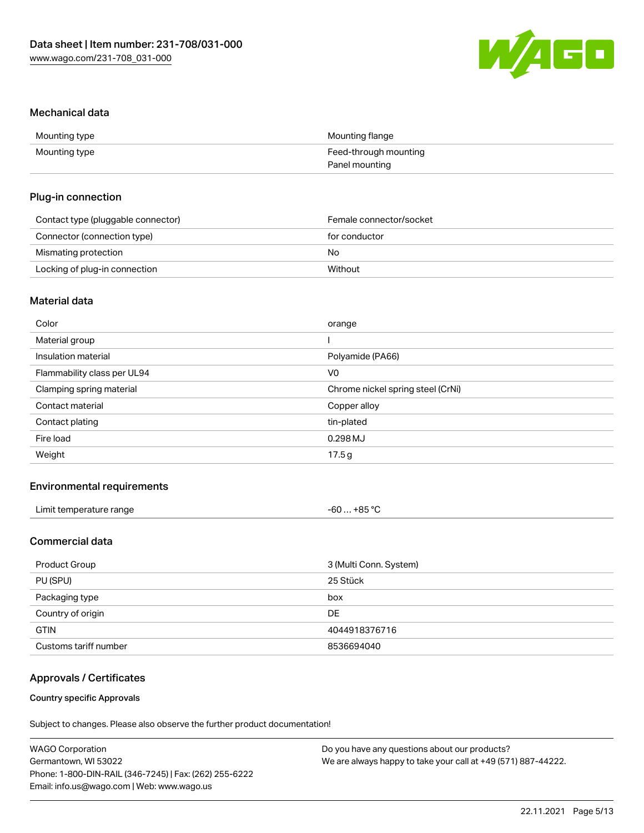

### Mechanical data

| Mounting type | Mounting flange       |
|---------------|-----------------------|
| Mounting type | Feed-through mounting |
|               | Panel mounting        |

### Plug-in connection

| Contact type (pluggable connector) | Female connector/socket |
|------------------------------------|-------------------------|
| Connector (connection type)        | for conductor           |
| Mismating protection               | No                      |
| Locking of plug-in connection      | Without                 |

# Material data

| Color                       | orange                            |
|-----------------------------|-----------------------------------|
| Material group              |                                   |
| Insulation material         | Polyamide (PA66)                  |
| Flammability class per UL94 | V <sub>0</sub>                    |
| Clamping spring material    | Chrome nickel spring steel (CrNi) |
| Contact material            | Copper alloy                      |
| Contact plating             | tin-plated                        |
| Fire load                   | 0.298MJ                           |
| Weight                      | 17.5g                             |
|                             |                                   |

### Environmental requirements

| Limit temperature range<br>. | . +85 °Ր<br>-60  -<br>_ _ _ |  |
|------------------------------|-----------------------------|--|
|------------------------------|-----------------------------|--|

# Commercial data

| Product Group         | 3 (Multi Conn. System) |
|-----------------------|------------------------|
| PU (SPU)              | 25 Stück               |
| Packaging type        | box                    |
| Country of origin     | <b>DE</b>              |
| <b>GTIN</b>           | 4044918376716          |
| Customs tariff number | 8536694040             |

# Approvals / Certificates

### Country specific Approvals

Subject to changes. Please also observe the further product documentation!

| <b>WAGO Corporation</b>                                | Do you have any questions about our products?                 |
|--------------------------------------------------------|---------------------------------------------------------------|
| Germantown, WI 53022                                   | We are always happy to take your call at +49 (571) 887-44222. |
| Phone: 1-800-DIN-RAIL (346-7245)   Fax: (262) 255-6222 |                                                               |
| Email: info.us@wago.com   Web: www.wago.us             |                                                               |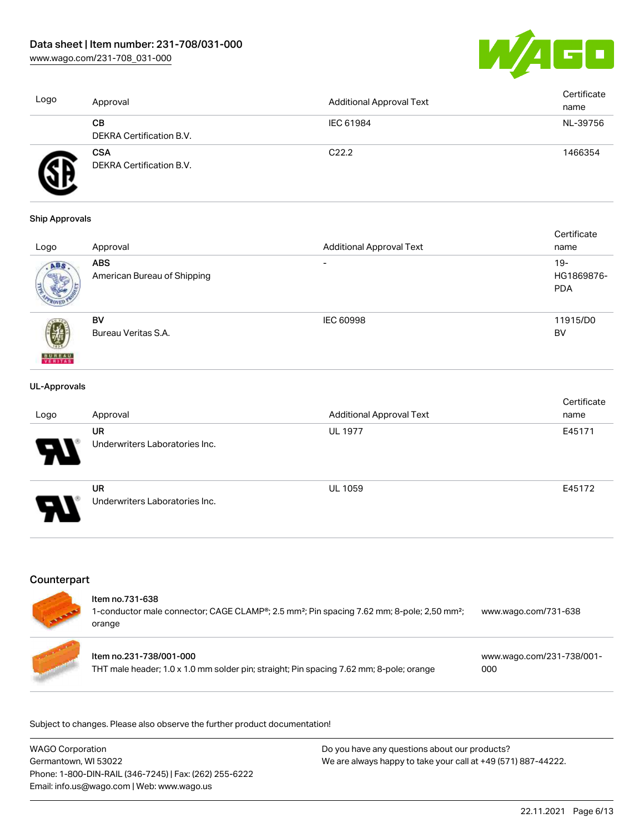[www.wago.com/231-708\\_031-000](http://www.wago.com/231-708_031-000)



| Logo | Approval                               | <b>Additional Approval Text</b> | Certificate<br>name |
|------|----------------------------------------|---------------------------------|---------------------|
|      | CВ<br>DEKRA Certification B.V.         | IEC 61984                       | NL-39756            |
|      | <b>CSA</b><br>DEKRA Certification B.V. | C <sub>22.2</sub>               | 1466354             |

#### Ship Approvals

|                          |                             |                                 | Certificate |
|--------------------------|-----------------------------|---------------------------------|-------------|
| Logo                     | Approval                    | <b>Additional Approval Text</b> | name        |
| ABS.                     | <b>ABS</b>                  | $\overline{\phantom{0}}$        | $19-$       |
|                          | American Bureau of Shipping |                                 | HG1869876-  |
|                          |                             |                                 | <b>PDA</b>  |
|                          |                             |                                 |             |
|                          | BV                          | <b>IEC 60998</b>                | 11915/D0    |
|                          | Bureau Veritas S.A.         |                                 | BV          |
|                          |                             |                                 |             |
| <b>BUREAU</b><br>VERITAS |                             |                                 |             |

### UL-Approvals

| Logo                  | Approval                                    | <b>Additional Approval Text</b> | Certificate<br>name |
|-----------------------|---------------------------------------------|---------------------------------|---------------------|
| $\boldsymbol{\theta}$ | <b>UR</b><br>Underwriters Laboratories Inc. | <b>UL 1977</b>                  | E45171              |
| 8                     | <b>UR</b><br>Underwriters Laboratories Inc. | <b>UL 1059</b>                  | E45172              |

# **Counterpart**

| Item no.731-638<br>1-conductor male connector; CAGE CLAMP <sup>®</sup> ; 2.5 mm <sup>2</sup> ; Pin spacing 7.62 mm; 8-pole; 2,50 mm <sup>2</sup> ;<br>orange | www.wago.com/731-638             |
|--------------------------------------------------------------------------------------------------------------------------------------------------------------|----------------------------------|
| Item no.231-738/001-000<br>THT male header; 1.0 x 1.0 mm solder pin; straight; Pin spacing 7.62 mm; 8-pole; orange                                           | www.wago.com/231-738/001-<br>000 |

Subject to changes. Please also observe the further product documentation!

| <b>WAGO Corporation</b>                                | Do you have any questions about our products?                 |
|--------------------------------------------------------|---------------------------------------------------------------|
| Germantown, WI 53022                                   | We are always happy to take your call at +49 (571) 887-44222. |
| Phone: 1-800-DIN-RAIL (346-7245)   Fax: (262) 255-6222 |                                                               |
| Email: info.us@wago.com   Web: www.wago.us             |                                                               |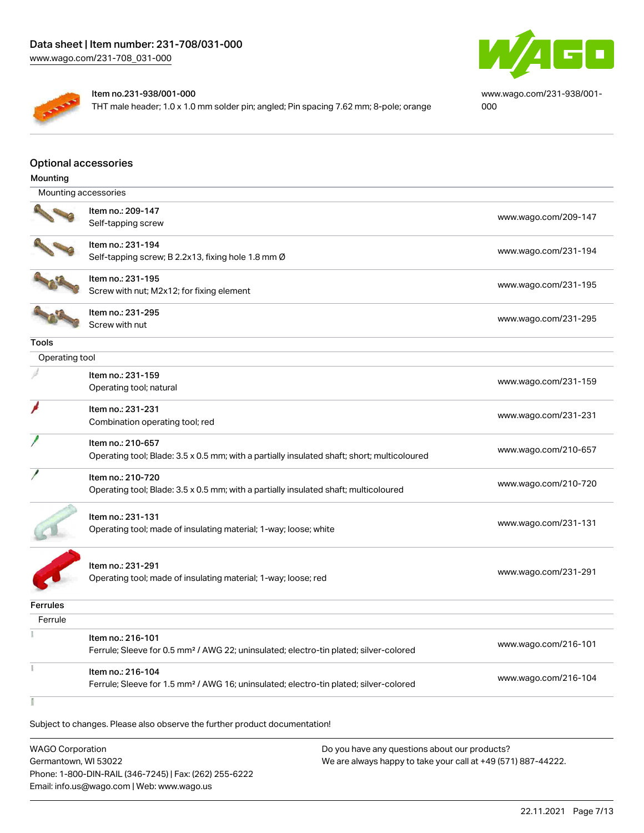

#### Item no.231-938/001-000

THT male header; 1.0 x 1.0 mm solder pin; angled; Pin spacing 7.62 mm; 8-pole; orange

[www.wago.com/231-938/001-](https://www.wago.com/231-938/001-000) [000](https://www.wago.com/231-938/001-000)

### Optional accessories

| Mounting             |                                                                                                   |                      |
|----------------------|---------------------------------------------------------------------------------------------------|----------------------|
| Mounting accessories |                                                                                                   |                      |
|                      | Item no.: 209-147                                                                                 |                      |
|                      | Self-tapping screw                                                                                | www.wago.com/209-147 |
|                      | Item no.: 231-194                                                                                 | www.wago.com/231-194 |
|                      | Self-tapping screw; B 2.2x13, fixing hole 1.8 mm Ø                                                |                      |
|                      | Item no.: 231-195                                                                                 |                      |
|                      | Screw with nut; M2x12; for fixing element                                                         | www.wago.com/231-195 |
|                      | Item no.: 231-295                                                                                 |                      |
|                      | Screw with nut                                                                                    | www.wago.com/231-295 |
| Tools                |                                                                                                   |                      |
| Operating tool       |                                                                                                   |                      |
|                      | Item no.: 231-159                                                                                 |                      |
|                      | Operating tool; natural                                                                           | www.wago.com/231-159 |
|                      | Item no.: 231-231                                                                                 |                      |
|                      | Combination operating tool; red                                                                   | www.wago.com/231-231 |
|                      | Item no.: 210-657                                                                                 |                      |
|                      | Operating tool; Blade: 3.5 x 0.5 mm; with a partially insulated shaft; short; multicoloured       | www.wago.com/210-657 |
|                      | Item no.: 210-720                                                                                 |                      |
|                      | Operating tool; Blade: 3.5 x 0.5 mm; with a partially insulated shaft; multicoloured              | www.wago.com/210-720 |
|                      | Item no.: 231-131                                                                                 |                      |
|                      | Operating tool; made of insulating material; 1-way; loose; white                                  | www.wago.com/231-131 |
|                      |                                                                                                   |                      |
|                      | Item no.: 231-291                                                                                 |                      |
|                      | Operating tool; made of insulating material; 1-way; loose; red                                    | www.wago.com/231-291 |
|                      |                                                                                                   |                      |
| <b>Ferrules</b>      |                                                                                                   |                      |
| Ferrule              |                                                                                                   |                      |
|                      | Item no.: 216-101                                                                                 | www.wago.com/216-101 |
|                      | Ferrule; Sleeve for 0.5 mm <sup>2</sup> / AWG 22; uninsulated; electro-tin plated; silver-colored |                      |
| š                    | Item no.: 216-104                                                                                 | www.wago.com/216-104 |
|                      | Ferrule; Sleeve for 1.5 mm <sup>2</sup> / AWG 16; uninsulated; electro-tin plated; silver-colored |                      |
|                      |                                                                                                   |                      |

Subject to changes. Please also observe the further product documentation!

WAGO Corporation Germantown, WI 53022 Phone: 1-800-DIN-RAIL (346-7245) | Fax: (262) 255-6222 Email: info.us@wago.com | Web: www.wago.us Do you have any questions about our products? We are always happy to take your call at +49 (571) 887-44222.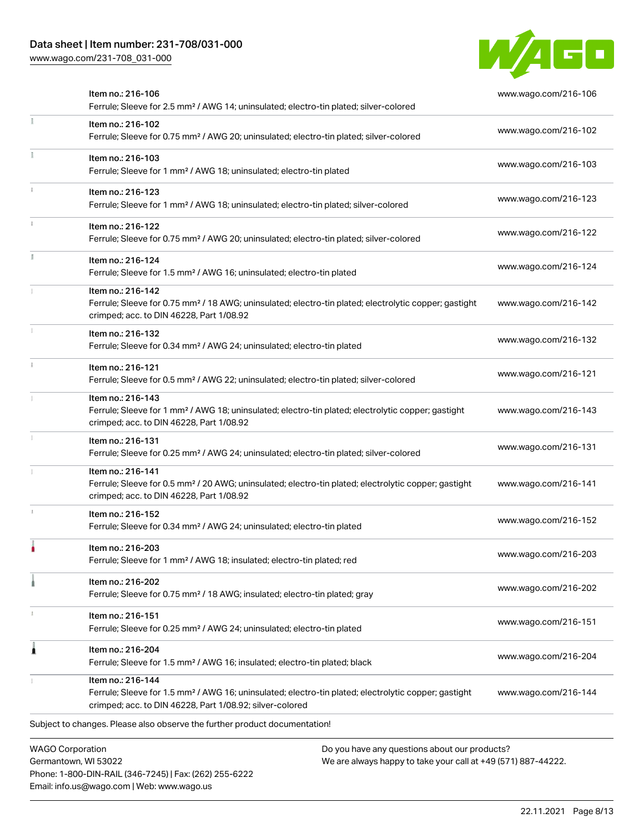# Data sheet | Item number: 231-708/031-000

[www.wago.com/231-708\\_031-000](http://www.wago.com/231-708_031-000)



| Item no.: 216-106<br>Ferrule; Sleeve for 2.5 mm <sup>2</sup> / AWG 14; uninsulated; electro-tin plated; silver-colored                                                                            | www.wago.com/216-106 |
|---------------------------------------------------------------------------------------------------------------------------------------------------------------------------------------------------|----------------------|
| Item no.: 216-102<br>Ferrule; Sleeve for 0.75 mm <sup>2</sup> / AWG 20; uninsulated; electro-tin plated; silver-colored                                                                           | www.wago.com/216-102 |
| Item no.: 216-103<br>Ferrule; Sleeve for 1 mm <sup>2</sup> / AWG 18; uninsulated; electro-tin plated                                                                                              | www.wago.com/216-103 |
| Item no.: 216-123<br>Ferrule; Sleeve for 1 mm <sup>2</sup> / AWG 18; uninsulated; electro-tin plated; silver-colored                                                                              | www.wago.com/216-123 |
| Item no.: 216-122<br>Ferrule; Sleeve for 0.75 mm <sup>2</sup> / AWG 20; uninsulated; electro-tin plated; silver-colored                                                                           | www.wago.com/216-122 |
| Item no.: 216-124<br>Ferrule; Sleeve for 1.5 mm <sup>2</sup> / AWG 16; uninsulated; electro-tin plated                                                                                            | www.wago.com/216-124 |
| Item no.: 216-142<br>Ferrule; Sleeve for 0.75 mm <sup>2</sup> / 18 AWG; uninsulated; electro-tin plated; electrolytic copper; gastight<br>crimped; acc. to DIN 46228, Part 1/08.92                | www.wago.com/216-142 |
| Item no.: 216-132<br>Ferrule; Sleeve for 0.34 mm <sup>2</sup> / AWG 24; uninsulated; electro-tin plated                                                                                           | www.wago.com/216-132 |
| Item no.: 216-121<br>Ferrule; Sleeve for 0.5 mm <sup>2</sup> / AWG 22; uninsulated; electro-tin plated; silver-colored                                                                            | www.wago.com/216-121 |
| Item no.: 216-143<br>Ferrule; Sleeve for 1 mm <sup>2</sup> / AWG 18; uninsulated; electro-tin plated; electrolytic copper; gastight<br>crimped; acc. to DIN 46228, Part 1/08.92                   | www.wago.com/216-143 |
| Item no.: 216-131<br>Ferrule; Sleeve for 0.25 mm <sup>2</sup> / AWG 24; uninsulated; electro-tin plated; silver-colored                                                                           | www.wago.com/216-131 |
| Item no.: 216-141<br>Ferrule; Sleeve for 0.5 mm <sup>2</sup> / 20 AWG; uninsulated; electro-tin plated; electrolytic copper; gastight<br>crimped; acc. to DIN 46228, Part 1/08.92                 | www.wago.com/216-141 |
| Item no.: 216-152<br>Ferrule; Sleeve for 0.34 mm <sup>2</sup> / AWG 24; uninsulated; electro-tin plated                                                                                           | www.wago.com/216-152 |
| Item no.: 216-203<br>Ferrule; Sleeve for 1 mm <sup>2</sup> / AWG 18; insulated; electro-tin plated; red                                                                                           | www.wago.com/216-203 |
| Item no.: 216-202<br>Ferrule; Sleeve for 0.75 mm <sup>2</sup> / 18 AWG; insulated; electro-tin plated; gray                                                                                       | www.wago.com/216-202 |
| Item no.: 216-151<br>Ferrule; Sleeve for 0.25 mm <sup>2</sup> / AWG 24; uninsulated; electro-tin plated                                                                                           | www.wago.com/216-151 |
| ltem no.: 216-204<br>Ferrule; Sleeve for 1.5 mm <sup>2</sup> / AWG 16; insulated; electro-tin plated; black                                                                                       | www.wago.com/216-204 |
| Item no.: 216-144<br>Ferrule; Sleeve for 1.5 mm <sup>2</sup> / AWG 16; uninsulated; electro-tin plated; electrolytic copper; gastight<br>crimped; acc. to DIN 46228, Part 1/08.92; silver-colored | www.wago.com/216-144 |
| Subject to changes. Please also observe the further product documentation!                                                                                                                        |                      |
| <b>WAGO Corporation</b><br>Do you have any questions about our products?                                                                                                                          |                      |

Germantown, WI 53022 Phone: 1-800-DIN-RAIL (346-7245) | Fax: (262) 255-6222 Email: info.us@wago.com | Web: www.wago.us

We are always happy to take your call at +49 (571) 887-44222.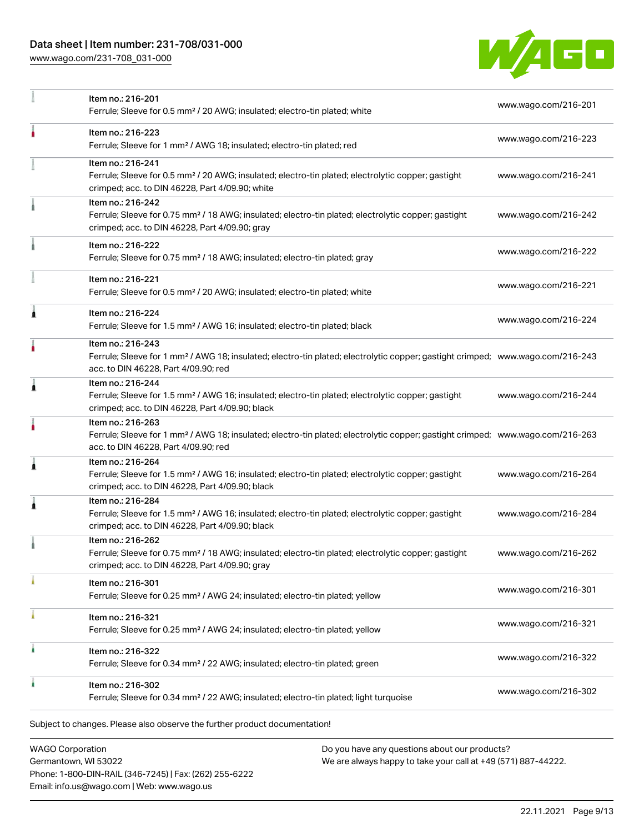# Data sheet | Item number: 231-708/031-000

[www.wago.com/231-708\\_031-000](http://www.wago.com/231-708_031-000)



|   | Item no.: 216-201<br>Ferrule; Sleeve for 0.5 mm <sup>2</sup> / 20 AWG; insulated; electro-tin plated; white                                                                                             | www.wago.com/216-201 |
|---|---------------------------------------------------------------------------------------------------------------------------------------------------------------------------------------------------------|----------------------|
|   | Item no.: 216-223<br>Ferrule; Sleeve for 1 mm <sup>2</sup> / AWG 18; insulated; electro-tin plated; red                                                                                                 | www.wago.com/216-223 |
|   | Item no.: 216-241<br>Ferrule; Sleeve for 0.5 mm <sup>2</sup> / 20 AWG; insulated; electro-tin plated; electrolytic copper; gastight<br>crimped; acc. to DIN 46228, Part 4/09.90; white                  | www.wago.com/216-241 |
|   | Item no.: 216-242<br>Ferrule; Sleeve for 0.75 mm <sup>2</sup> / 18 AWG; insulated; electro-tin plated; electrolytic copper; gastight<br>crimped; acc. to DIN 46228, Part 4/09.90; gray                  | www.wago.com/216-242 |
|   | Item no.: 216-222<br>Ferrule; Sleeve for 0.75 mm <sup>2</sup> / 18 AWG; insulated; electro-tin plated; gray                                                                                             | www.wago.com/216-222 |
|   | Item no.: 216-221<br>Ferrule; Sleeve for 0.5 mm <sup>2</sup> / 20 AWG; insulated; electro-tin plated; white                                                                                             | www.wago.com/216-221 |
| ۸ | Item no.: 216-224<br>Ferrule; Sleeve for 1.5 mm <sup>2</sup> / AWG 16; insulated; electro-tin plated; black                                                                                             | www.wago.com/216-224 |
|   | Item no.: 216-243<br>Ferrule; Sleeve for 1 mm <sup>2</sup> / AWG 18; insulated; electro-tin plated; electrolytic copper; gastight crimped; www.wago.com/216-243<br>acc. to DIN 46228, Part 4/09.90; red |                      |
| Â | Item no.: 216-244<br>Ferrule; Sleeve for 1.5 mm <sup>2</sup> / AWG 16; insulated; electro-tin plated; electrolytic copper; gastight<br>crimped; acc. to DIN 46228, Part 4/09.90; black                  | www.wago.com/216-244 |
|   | Item no.: 216-263<br>Ferrule; Sleeve for 1 mm <sup>2</sup> / AWG 18; insulated; electro-tin plated; electrolytic copper; gastight crimped; www.wago.com/216-263<br>acc. to DIN 46228, Part 4/09.90; red |                      |
| 1 | Item no.: 216-264<br>Ferrule; Sleeve for 1.5 mm <sup>2</sup> / AWG 16; insulated; electro-tin plated; electrolytic copper; gastight<br>crimped; acc. to DIN 46228, Part 4/09.90; black                  | www.wago.com/216-264 |
| 1 | Item no.: 216-284<br>Ferrule; Sleeve for 1.5 mm <sup>2</sup> / AWG 16; insulated; electro-tin plated; electrolytic copper; gastight<br>crimped; acc. to DIN 46228, Part 4/09.90; black                  | www.wago.com/216-284 |
|   | Item no.: 216-262<br>Ferrule; Sleeve for 0.75 mm <sup>2</sup> / 18 AWG; insulated; electro-tin plated; electrolytic copper; gastight<br>crimped; acc. to DIN 46228, Part 4/09.90; gray                  | www.wago.com/216-262 |
|   | Item no.: 216-301<br>Ferrule; Sleeve for 0.25 mm <sup>2</sup> / AWG 24; insulated; electro-tin plated; yellow                                                                                           | www.wago.com/216-301 |
|   | Item no.: 216-321<br>Ferrule; Sleeve for 0.25 mm <sup>2</sup> / AWG 24; insulated; electro-tin plated; yellow                                                                                           | www.wago.com/216-321 |
| ٠ | Item no.: 216-322<br>Ferrule; Sleeve for 0.34 mm <sup>2</sup> / 22 AWG; insulated; electro-tin plated; green                                                                                            | www.wago.com/216-322 |
|   | Item no.: 216-302<br>Ferrule; Sleeve for 0.34 mm <sup>2</sup> / 22 AWG; insulated; electro-tin plated; light turquoise                                                                                  | www.wago.com/216-302 |
|   | Subject to changes. Please also observe the further product documentation!                                                                                                                              |                      |

WAGO Corporation Germantown, WI 53022 Phone: 1-800-DIN-RAIL (346-7245) | Fax: (262) 255-6222 Email: info.us@wago.com | Web: www.wago.us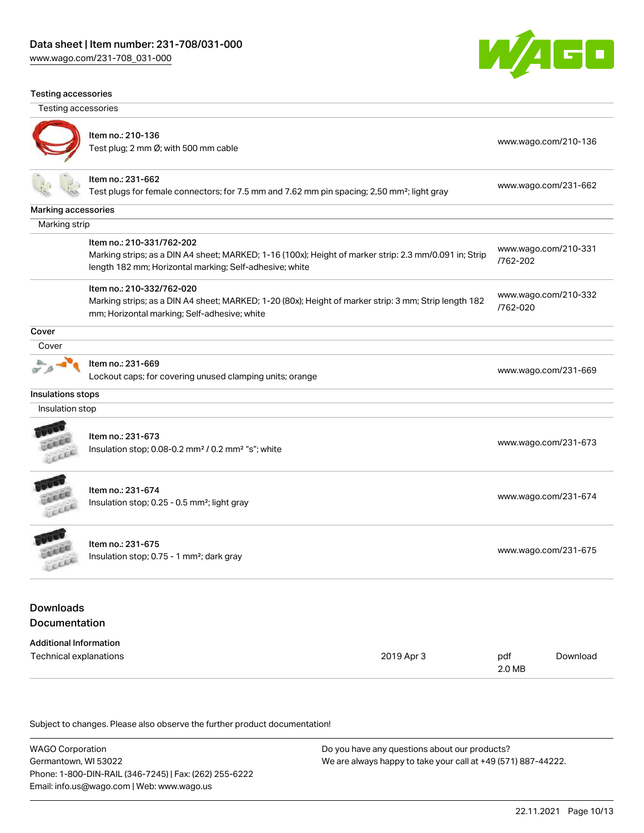[www.wago.com/231-708\\_031-000](http://www.wago.com/231-708_031-000)



#### Testing accessories

Testing accessories



### Item no.: 210-136 nomme...<br>Test plug; 2 mm Ø; with 500 mm cable [www.wago.com/210-136](http://www.wago.com/210-136)

[www.wago.com/210-332](http://www.wago.com/210-332/762-020)

[/762-020](http://www.wago.com/210-332/762-020)

2.0 MB

### Item no.: 231-662

Test plugs for female connectors; for 7.5 mm and 7.62 mm pin spacing; 2,50 mm²; light gray [www.wago.com/231-662](http://www.wago.com/231-662)

#### Marking accessories

Marking strip

| ltem no.: 210-331/762-202 |  |
|---------------------------|--|
|                           |  |

Marking strips; as a DIN A4 sheet; MARKED; 1-16 (100x); Height of marker strip: 2.3 mm/0.091 in; Strip length 182 mm; Horizontal marking; Self-adhesive; white [www.wago.com/210-331](http://www.wago.com/210-331/762-202) [/762-202](http://www.wago.com/210-331/762-202)

### Item no.: 210-332/762-020

Marking strips; as a DIN A4 sheet; MARKED; 1-20 (80x); Height of marker strip: 3 mm; Strip length 182 mm; Horizontal marking; Self-adhesive; white

**Cover** 

 $\sigma$   $\rho$ 

### **Cover** 基

Item no.: 231-669

Lockout caps; for covering unused clamping units; orange [www.wago.com/231-669](http://www.wago.com/231-669)

#### Insulations stops

Insulation stop



# Item no.: 231-673

Insulation stop; 0.08-0.2 mm<sup>2</sup> / 0.2 mm<sup>2</sup> "s"; white [www.wago.com/231-673](http://www.wago.com/231-673) www.wago.com/231-673

**CALL** Leee

Item no.: 231-674 Insulation stop; 0.25 - 0.5 mm²; light gray [www.wago.com/231-674](http://www.wago.com/231-674)



Item no.: 231-675 Insulation stop; 0.75 - 1 mm²; dark gray [www.wago.com/231-675](http://www.wago.com/231-675)<br>Insulation stop; 0.75 - 1 mm²; dark gray

# Downloads Documentation

| <b>Additional Information</b> |            |     |
|-------------------------------|------------|-----|
| Technical explanations        | 2019 Apr 3 | pdf |

Subject to changes. Please also observe the further product documentation!

WAGO Corporation Germantown, WI 53022 Phone: 1-800-DIN-RAIL (346-7245) | Fax: (262) 255-6222 Email: info.us@wago.com | Web: www.wago.us Do you have any questions about our products? We are always happy to take your call at +49 (571) 887-44222.

[Download](https://www.wago.com/global/d/1435602)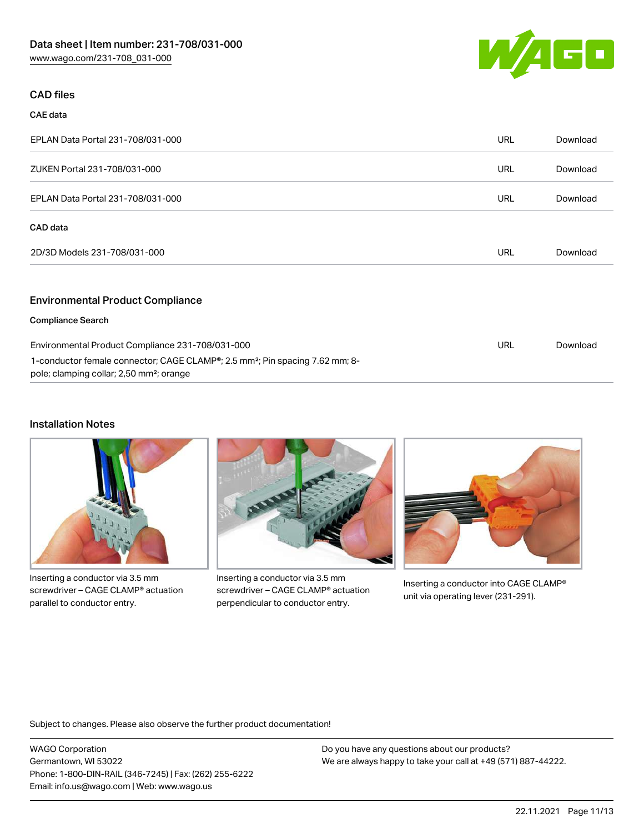

# CAD files

### CAE data

| EPLAN Data Portal 231-708/031-000                                                                                                                             | URL        | Download |
|---------------------------------------------------------------------------------------------------------------------------------------------------------------|------------|----------|
| ZUKEN Portal 231-708/031-000                                                                                                                                  | <b>URL</b> | Download |
| EPLAN Data Portal 231-708/031-000                                                                                                                             | <b>URL</b> | Download |
| CAD data                                                                                                                                                      |            |          |
| 2D/3D Models 231-708/031-000                                                                                                                                  | <b>URL</b> | Download |
| <b>Environmental Product Compliance</b>                                                                                                                       |            |          |
| <b>Compliance Search</b>                                                                                                                                      |            |          |
| Environmental Product Compliance 231-708/031-000                                                                                                              | URL        | Download |
| 1-conductor female connector; CAGE CLAMP <sup>®</sup> ; 2.5 mm <sup>2</sup> ; Pin spacing 7.62 mm; 8-<br>pole; clamping collar; 2,50 mm <sup>2</sup> ; orange |            |          |

### Installation Notes



Inserting a conductor via 3.5 mm screwdriver – CAGE CLAMP® actuation parallel to conductor entry.



Inserting a conductor via 3.5 mm screwdriver – CAGE CLAMP® actuation perpendicular to conductor entry.



Inserting a conductor into CAGE CLAMP® unit via operating lever (231-291).

Subject to changes. Please also observe the further product documentation!

WAGO Corporation Germantown, WI 53022 Phone: 1-800-DIN-RAIL (346-7245) | Fax: (262) 255-6222 Email: info.us@wago.com | Web: www.wago.us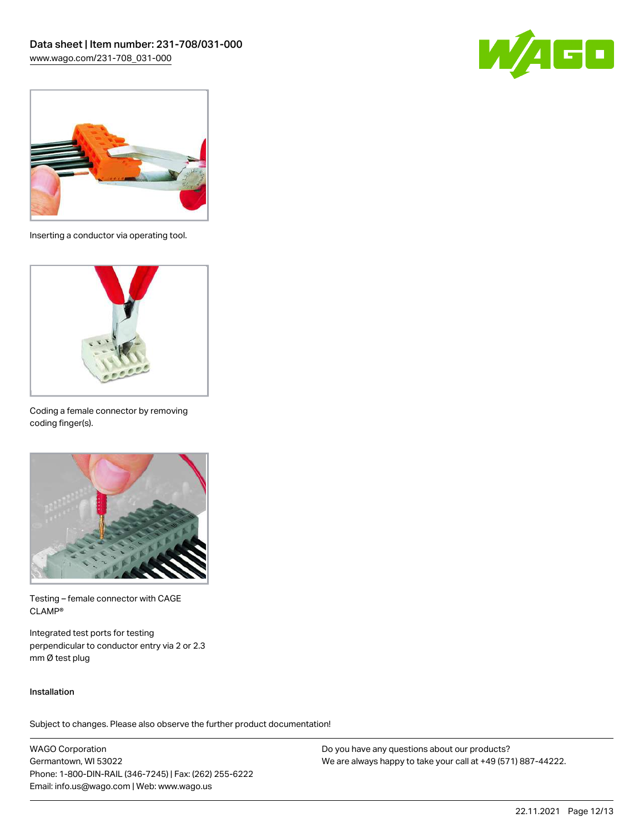



Inserting a conductor via operating tool.



Coding a female connector by removing coding finger(s).



Testing – female connector with CAGE CLAMP®

Integrated test ports for testing perpendicular to conductor entry via 2 or 2.3 mm Ø test plug

### Installation

Subject to changes. Please also observe the further product documentation!

WAGO Corporation Germantown, WI 53022 Phone: 1-800-DIN-RAIL (346-7245) | Fax: (262) 255-6222 Email: info.us@wago.com | Web: www.wago.us